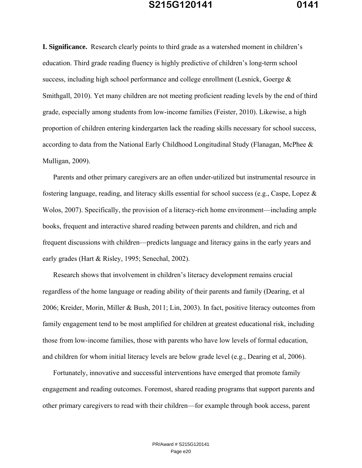**I. Significance.** Research clearly points to third grade as a watershed moment in children's education. Third grade reading fluency is highly predictive of children's long-term school success, including high school performance and college enrollment (Lesnick, Goerge & Smithgall, 2010). Yet many children are not meeting proficient reading levels by the end of third grade, especially among students from low-income families (Feister, 2010). Likewise, a high proportion of children entering kindergarten lack the reading skills necessary for school success, according to data from the National Early Childhood Longitudinal Study (Flanagan, McPhee & Mulligan, 2009).

Parents and other primary caregivers are an often under-utilized but instrumental resource in fostering language, reading, and literacy skills essential for school success (e.g., Caspe, Lopez & Wolos, 2007). Specifically, the provision of a literacy-rich home environment—including ample books, frequent and interactive shared reading between parents and children, and rich and frequent discussions with children—predicts language and literacy gains in the early years and early grades (Hart & Risley, 1995; Senechal, 2002).

Research shows that involvement in children's literacy development remains crucial regardless of the home language or reading ability of their parents and family (Dearing, et al 2006; Kreider, Morin, Miller & Bush, 2011; Lin, 2003). In fact, positive literacy outcomes from family engagement tend to be most amplified for children at greatest educational risk, including those from low-income families, those with parents who have low levels of formal education, and children for whom initial literacy levels are below grade level (e.g., Dearing et al, 2006).

Fortunately, innovative and successful interventions have emerged that promote family engagement and reading outcomes. Foremost, shared reading programs that support parents and other primary caregivers to read with their children—for example through book access, parent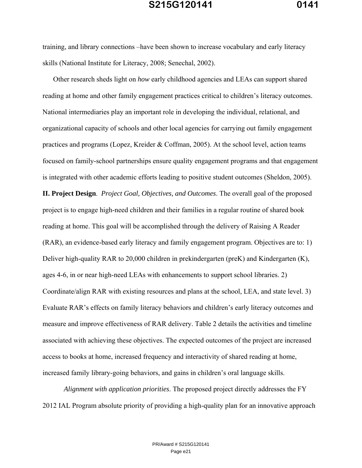training, and library connections –have been shown to increase vocabulary and early literacy skills (National Institute for Literacy, 2008; Senechal, 2002).

Other research sheds light on *how* early childhood agencies and LEAs can support shared reading at home and other family engagement practices critical to children's literacy outcomes. National intermediaries play an important role in developing the individual, relational, and organizational capacity of schools and other local agencies for carrying out family engagement practices and programs (Lopez, Kreider & Coffman, 2005). At the school level, action teams focused on family-school partnerships ensure quality engagement programs and that engagement is integrated with other academic efforts leading to positive student outcomes (Sheldon, 2005).

**II. Project Design**. *Project Goal, Objectives, and Outcomes*. The overall goal of the proposed project is to engage high-need children and their families in a regular routine of shared book reading at home. This goal will be accomplished through the delivery of Raising A Reader (RAR), an evidence-based early literacy and family engagement program. Objectives are to: 1) Deliver high-quality RAR to 20,000 children in prekindergarten (preK) and Kindergarten (K), ages 4-6, in or near high-need LEAs with enhancements to support school libraries. 2) Coordinate/align RAR with existing resources and plans at the school, LEA, and state level. 3) Evaluate RAR's effects on family literacy behaviors and children's early literacy outcomes and measure and improve effectiveness of RAR delivery. Table 2 details the activities and timeline associated with achieving these objectives. The expected outcomes of the project are increased access to books at home, increased frequency and interactivity of shared reading at home, increased family library-going behaviors, and gains in children's oral language skills.

*Alignment with application priorities*. The proposed project directly addresses the FY 2012 IAL Program absolute priority of providing a high-quality plan for an innovative approach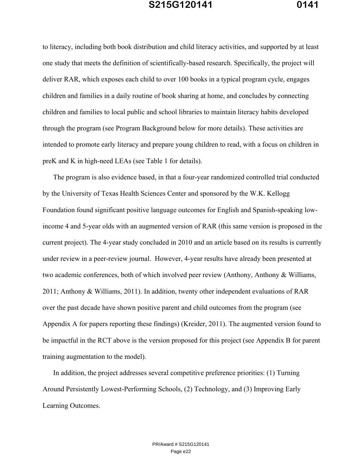to literacy, including both book distribution and child literacy activities, and supported by at least one study that meets the definition of scientifically-based research. Specifically, the project will deliver RAR, which exposes each child to over 100 books in a typical program cycle, engages children and families in a daily routine of book sharing at home, and concludes by connecting children and families to local public and school libraries to maintain literacy habits developed through the program (see Program Background below for more details). These activities are intended to promote early literacy and prepare young children to read, with a focus on children in preK and K in high-need LEAs (see Table 1 for details).

The program is also evidence based, in that a four-year randomized controlled trial conducted by the University of Texas Health Sciences Center and sponsored by the W.K. Kellogg Foundation found significant positive language outcomes for English and Spanish-speaking lowincome 4 and 5-year olds with an augmented version of RAR (this same version is proposed in the current project). The 4-year study concluded in 2010 and an article based on its results is currently under review in a peer-review journal. However, 4-year results have already been presented at two academic conferences, both of which involved peer review (Anthony, Anthony & Williams, 2011; Anthony & Williams, 2011). In addition, twenty other independent evaluations of RAR over the past decade have shown positive parent and child outcomes from the program (see Appendix A for papers reporting these findings) (Kreider, 2011). The augmented version found to be impactful in the RCT above is the version proposed for this project (see Appendix B for parent training augmentation to the model).

In addition, the project addresses several competitive preference priorities: (1) Turning Around Persistently Lowest-Performing Schools, (2) Technology, and (3) Improving Early Learning Outcomes.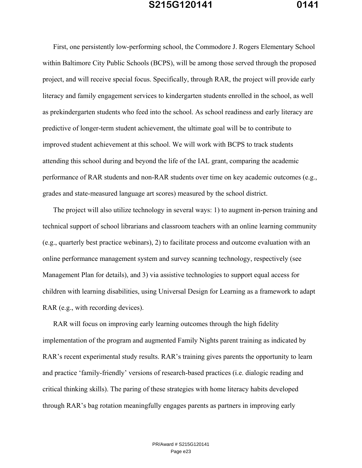First, one persistently low-performing school, the Commodore J. Rogers Elementary School within Baltimore City Public Schools (BCPS), will be among those served through the proposed project, and will receive special focus. Specifically, through RAR, the project will provide early literacy and family engagement services to kindergarten students enrolled in the school, as well as prekindergarten students who feed into the school. As school readiness and early literacy are

predictive of longer-term student achievement, the ultimate goal will be to contribute to improved student achievement at this school. We will work with BCPS to track students attending this school during and beyond the life of the IAL grant, comparing the academic performance of RAR students and non-RAR students over time on key academic outcomes (e.g., grades and state-measured language art scores) measured by the school district.

The project will also utilize technology in several ways: 1) to augment in-person training and technical support of school librarians and classroom teachers with an online learning community (e.g., quarterly best practice webinars), 2) to facilitate process and outcome evaluation with an online performance management system and survey scanning technology, respectively (see Management Plan for details), and 3) via assistive technologies to support equal access for children with learning disabilities, using Universal Design for Learning as a framework to adapt RAR (e.g., with recording devices).

RAR will focus on improving early learning outcomes through the high fidelity implementation of the program and augmented Family Nights parent training as indicated by RAR's recent experimental study results. RAR's training gives parents the opportunity to learn and practice 'family-friendly' versions of research-based practices (i.e. dialogic reading and critical thinking skills). The paring of these strategies with home literacy habits developed through RAR's bag rotation meaningfully engages parents as partners in improving early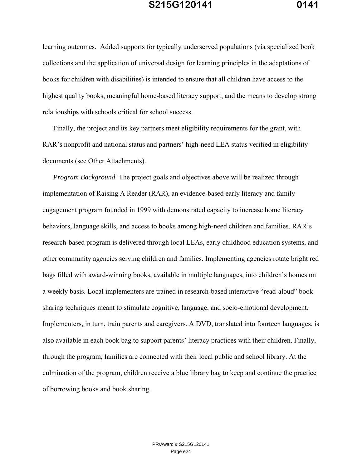learning outcomes. Added supports for typically underserved populations (via specialized book collections and the application of universal design for learning principles in the adaptations of books for children with disabilities) is intended to ensure that all children have access to the highest quality books, meaningful home-based literacy support, and the means to develop strong relationships with schools critical for school success.

Finally, the project and its key partners meet eligibility requirements for the grant, with RAR's nonprofit and national status and partners' high-need LEA status verified in eligibility documents (see Other Attachments).

*Program Background.* The project goals and objectives above will be realized through implementation of Raising A Reader (RAR), an evidence-based early literacy and family engagement program founded in 1999 with demonstrated capacity to increase home literacy behaviors, language skills, and access to books among high-need children and families. RAR's research-based program is delivered through local LEAs, early childhood education systems, and other community agencies serving children and families. Implementing agencies rotate bright red bags filled with award-winning books, available in multiple languages, into children's homes on a weekly basis. Local implementers are trained in research-based interactive "read-aloud" book sharing techniques meant to stimulate cognitive, language, and socio-emotional development. Implementers, in turn, train parents and caregivers. A DVD, translated into fourteen languages, is also available in each book bag to support parents' literacy practices with their children. Finally, through the program, families are connected with their local public and school library. At the culmination of the program, children receive a blue library bag to keep and continue the practice of borrowing books and book sharing.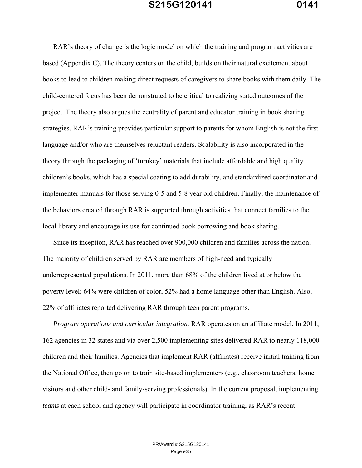RAR's theory of change is the logic model on which the training and program activities are based (Appendix C). The theory centers on the child, builds on their natural excitement about books to lead to children making direct requests of caregivers to share books with them daily. The child-centered focus has been demonstrated to be critical to realizing stated outcomes of the project. The theory also argues the centrality of parent and educator training in book sharing strategies. RAR's training provides particular support to parents for whom English is not the first language and/or who are themselves reluctant readers. Scalability is also incorporated in the theory through the packaging of 'turnkey' materials that include affordable and high quality children's books, which has a special coating to add durability, and standardized coordinator and implementer manuals for those serving 0-5 and 5-8 year old children. Finally, the maintenance of the behaviors created through RAR is supported through activities that connect families to the local library and encourage its use for continued book borrowing and book sharing.

Since its inception, RAR has reached over 900,000 children and families across the nation. The majority of children served by RAR are members of high-need and typically underrepresented populations. In 2011, more than 68% of the children lived at or below the poverty level; 64% were children of color, 52% had a home language other than English. Also, 22% of affiliates reported delivering RAR through teen parent programs.

*Program operations and curricular integration.* RAR operates on an affiliate model. In 2011, 162 agencies in 32 states and via over 2,500 implementing sites delivered RAR to nearly 118,000 children and their families. Agencies that implement RAR (affiliates) receive initial training from the National Office, then go on to train site-based implementers (e.g., classroom teachers, home visitors and other child- and family-serving professionals). In the current proposal, implementing *teams* at each school and agency will participate in coordinator training, as RAR's recent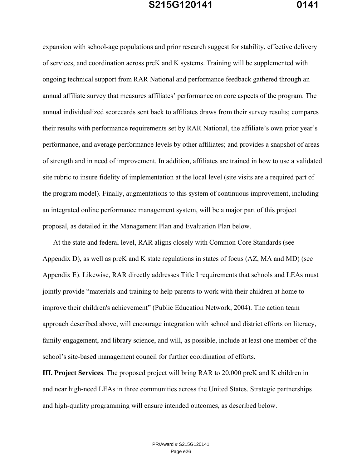expansion with school-age populations and prior research suggest for stability, effective delivery of services, and coordination across preK and K systems. Training will be supplemented with ongoing technical support from RAR National and performance feedback gathered through an annual affiliate survey that measures affiliates' performance on core aspects of the program. The annual individualized scorecards sent back to affiliates draws from their survey results; compares their results with performance requirements set by RAR National, the affiliate's own prior year's performance, and average performance levels by other affiliates; and provides a snapshot of areas of strength and in need of improvement. In addition, affiliates are trained in how to use a validated site rubric to insure fidelity of implementation at the local level (site visits are a required part of the program model). Finally, augmentations to this system of continuous improvement, including an integrated online performance management system, will be a major part of this project proposal, as detailed in the Management Plan and Evaluation Plan below.

At the state and federal level, RAR aligns closely with Common Core Standards (see Appendix D), as well as preK and K state regulations in states of focus (AZ, MA and MD) (see Appendix E). Likewise, RAR directly addresses Title I requirements that schools and LEAs must jointly provide "materials and training to help parents to work with their children at home to improve their children's achievement" (Public Education Network, 2004). The action team approach described above, will encourage integration with school and district efforts on literacy, family engagement, and library science, and will, as possible, include at least one member of the school's site-based management council for further coordination of efforts.

**III. Project Services**. The proposed project will bring RAR to 20,000 preK and K children in and near high-need LEAs in three communities across the United States. Strategic partnerships and high-quality programming will ensure intended outcomes, as described below.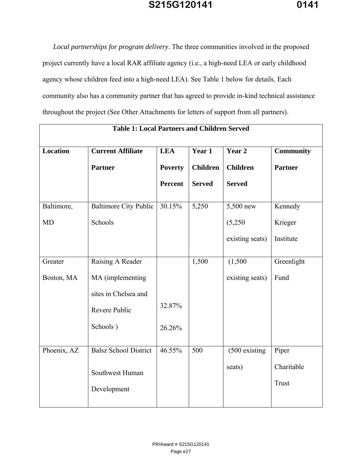*Local partnerships for program delivery*. The three communities involved in the proposed project currently have a local RAR affiliate agency (i.e., a high-need LEA or early childhood agency whose children feed into a high-need LEA). See Table 1 below for details. Each community also has a community partner that has agreed to provide in-kind technical assistance throughout the project (See Other Attachments for letters of support from all partners).

| <b>Table 1: Local Partners and Children Served</b> |                              |                |                                                      |                 |                  |  |  |
|----------------------------------------------------|------------------------------|----------------|------------------------------------------------------|-----------------|------------------|--|--|
| <b>Location</b>                                    | <b>Current Affiliate</b>     | <b>LEA</b>     | Year 1                                               | Year 2          | <b>Community</b> |  |  |
|                                                    | <b>Partner</b>               |                | <b>Children</b><br><b>Children</b><br><b>Poverty</b> |                 | <b>Partner</b>   |  |  |
|                                                    |                              | <b>Percent</b> | <b>Served</b>                                        | <b>Served</b>   |                  |  |  |
| Baltimore,                                         | <b>Baltimore City Public</b> | $30.15\%$      | 5,250                                                | 5,500 new       | Kennedy          |  |  |
| <b>MD</b>                                          | Schools                      |                |                                                      | (5,250)         | Krieger          |  |  |
|                                                    |                              |                |                                                      | existing seats) | Institute        |  |  |
| Greater                                            | Raising A Reader             |                | 1,500                                                | (1,500)         | Greenlight       |  |  |
| Boston, MA                                         | MA (implementing             |                |                                                      | existing seats) | Fund             |  |  |
|                                                    | sites in Chelsea and         |                |                                                      |                 |                  |  |  |
|                                                    | Revere Public                | 32.87%         |                                                      |                 |                  |  |  |
|                                                    | Schools)                     | 26.26%         |                                                      |                 |                  |  |  |
| Phoenix, AZ                                        | <b>Balsz School District</b> | 46.55%         | 500                                                  | $(500$ existing | Piper            |  |  |
|                                                    | Southwest Human              |                |                                                      | seats)          | Charitable       |  |  |
|                                                    | Development                  |                |                                                      |                 | <b>Trust</b>     |  |  |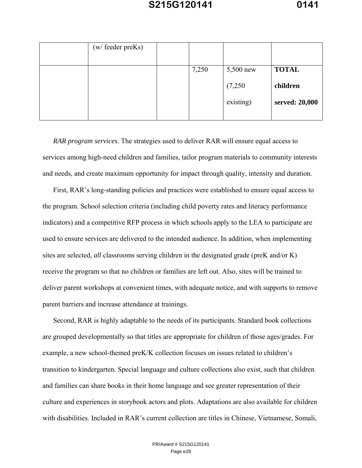| (w/ feeder preKs) |       |           |                |
|-------------------|-------|-----------|----------------|
|                   | 7,250 | 5,500 new | <b>TOTAL</b>   |
|                   |       | (7,250)   | children       |
|                   |       | existing) | served: 20,000 |

*RAR program services*. The strategies used to deliver RAR will ensure equal access to services among high-need children and families, tailor program materials to community interests and needs, and create maximum opportunity for impact through quality, intensity and duration.

First, RAR's long-standing policies and practices were established to ensure equal access to the program. School selection criteria (including child poverty rates and literacy performance indicators) and a competitive RFP process in which schools apply to the LEA to participate are used to ensure services are delivered to the intended audience. In addition, when implementing sites are selected, *all* classrooms serving children in the designated grade (preK and/or K) receive the program so that no children or families are left out. Also, sites will be trained to deliver parent workshops at convenient times, with adequate notice, and with supports to remove parent barriers and increase attendance at trainings.

Second, RAR is highly adaptable to the needs of its participants. Standard book collections are grouped developmentally so that titles are appropriate for children of those ages/grades. For example, a new school-themed preK/K collection focuses on issues related to children's transition to kindergarten. Special language and culture collections also exist, such that children and families can share books in their home language and see greater representation of their culture and experiences in storybook actors and plots. Adaptations are also available for children with disabilities. Included in RAR's current collection are titles in Chinese, Vietnamese, Somali,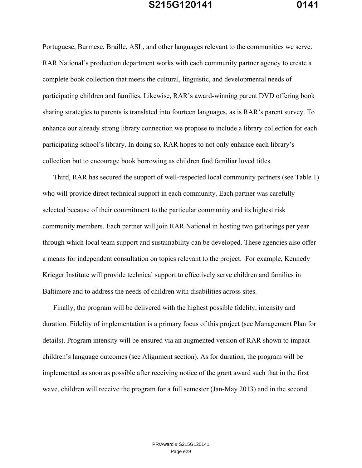Portuguese, Burmese, Braille, ASL, and other languages relevant to the communities we serve. RAR National's production department works with each community partner agency to create a complete book collection that meets the cultural, linguistic, and developmental needs of participating children and families. Likewise, RAR's award-winning parent DVD offering book sharing strategies to parents is translated into fourteen languages, as is RAR's parent survey. To enhance our already strong library connection we propose to include a library collection for each participating school's library. In doing so, RAR hopes to not only enhance each library's collection but to encourage book borrowing as children find familiar loved titles.

Third, RAR has secured the support of well-respected local community partners (see Table 1) who will provide direct technical support in each community. Each partner was carefully selected because of their commitment to the particular community and its highest risk community members. Each partner will join RAR National in hosting two gatherings per year through which local team support and sustainability can be developed. These agencies also offer a means for independent consultation on topics relevant to the project. For example, Kennedy Krieger Institute will provide technical support to effectively serve children and families in Baltimore and to address the needs of children with disabilities across sites.

Finally, the program will be delivered with the highest possible fidelity, intensity and duration. Fidelity of implementation is a primary focus of this project (see Management Plan for details). Program intensity will be ensured via an augmented version of RAR shown to impact children's language outcomes (see Alignment section). As for duration, the program will be implemented as soon as possible after receiving notice of the grant award such that in the first wave, children will receive the program for a full semester (Jan-May 2013) and in the second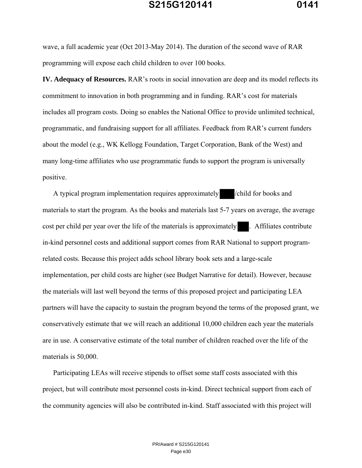wave, a full academic year (Oct 2013-May 2014). The duration of the second wave of RAR programming will expose each child children to over 100 books.

**IV. Adequacy of Resources.** RAR's roots in social innovation are deep and its model reflects its commitment to innovation in both programming and in funding. RAR's cost for materials includes all program costs. Doing so enables the National Office to provide unlimited technical, programmatic, and fundraising support for all affiliates. Feedback from RAR's current funders about the model (e.g., WK Kellogg Foundation, Target Corporation, Bank of the West) and many long-time affiliates who use programmatic funds to support the program is universally positive.

A typical program implementation requires approximately /child for books and materials to start the program. As the books and materials last 5-7 years on average, the average cost per child per year over the life of the materials is approximately . Affiliates contribute in-kind personnel costs and additional support comes from RAR National to support programrelated costs. Because this project adds school library book sets and a large-scale implementation, per child costs are higher (see Budget Narrative for detail). However, because the materials will last well beyond the terms of this proposed project and participating LEA partners will have the capacity to sustain the program beyond the terms of the proposed grant, we conservatively estimate that we will reach an additional 10,000 children each year the materials are in use. A conservative estimate of the total number of children reached over the life of the materials is 50,000.

Participating LEAs will receive stipends to offset some staff costs associated with this project, but will contribute most personnel costs in-kind. Direct technical support from each of the community agencies will also be contributed in-kind. Staff associated with this project will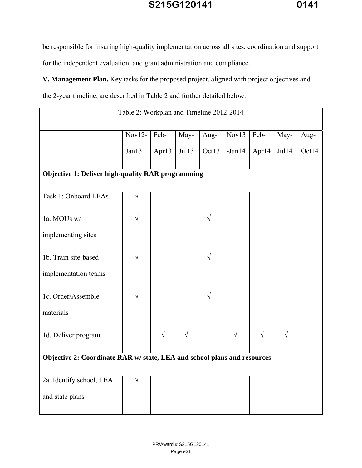be responsible for insuring high-quality implementation across all sites, coordination and support for the independent evaluation, and grant administration and compliance.

**V. Management Plan.** Key tasks for the proposed project, aligned with project objectives and

the 2-year timeline, are described in Table 2 and further detailed below.

| Table 2: Workplan and Timeline 2012-2014                                 |            |            |            |            |            |            |            |       |  |
|--------------------------------------------------------------------------|------------|------------|------------|------------|------------|------------|------------|-------|--|
|                                                                          | $Nov12-$   | Feb-       | May-       | Aug-       | Nov13      | Feb-       | May-       | Aug-  |  |
|                                                                          | Jan13      | Apr13      | Jul13      | Oct13      | $-Jan14$   | Apr14      | Jul14      | Oct14 |  |
| <b>Objective 1: Deliver high-quality RAR programming</b>                 |            |            |            |            |            |            |            |       |  |
| Task 1: Onboard LEAs                                                     | $\sqrt{ }$ |            |            |            |            |            |            |       |  |
| 1a. MOUs w/                                                              | $\sqrt{ }$ |            |            | $\sqrt{ }$ |            |            |            |       |  |
| implementing sites                                                       |            |            |            |            |            |            |            |       |  |
| 1b. Train site-based                                                     | $\sqrt{ }$ |            |            | $\sqrt{ }$ |            |            |            |       |  |
| implementation teams                                                     |            |            |            |            |            |            |            |       |  |
| 1c. Order/Assemble                                                       | $\sqrt{ }$ |            |            | $\sqrt{ }$ |            |            |            |       |  |
| materials                                                                |            |            |            |            |            |            |            |       |  |
| 1d. Deliver program                                                      |            | $\sqrt{ }$ | $\sqrt{ }$ |            | $\sqrt{ }$ | $\sqrt{ }$ | $\sqrt{ }$ |       |  |
| Objective 2: Coordinate RAR w/ state, LEA and school plans and resources |            |            |            |            |            |            |            |       |  |
| 2a. Identify school, LEA                                                 | $\sqrt{}$  |            |            |            |            |            |            |       |  |
| and state plans                                                          |            |            |            |            |            |            |            |       |  |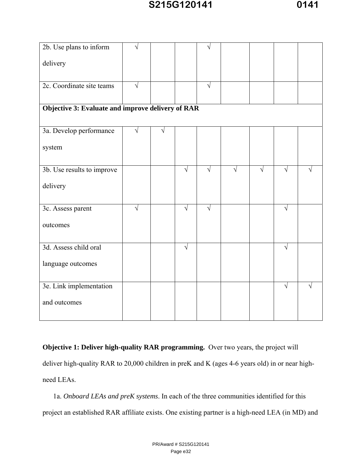| 2b. Use plans to inform                           | N         |   |            |            |            |            |            |  |
|---------------------------------------------------|-----------|---|------------|------------|------------|------------|------------|--|
| delivery                                          |           |   |            |            |            |            |            |  |
|                                                   |           |   |            |            |            |            |            |  |
| 2c. Coordinate site teams                         | $\sqrt{}$ |   |            | V          |            |            |            |  |
|                                                   |           |   |            |            |            |            |            |  |
| Objective 3: Evaluate and improve delivery of RAR |           |   |            |            |            |            |            |  |
|                                                   |           |   |            |            |            |            |            |  |
| 3a. Develop performance                           | $\sqrt{}$ | N |            |            |            |            |            |  |
| system                                            |           |   |            |            |            |            |            |  |
|                                                   |           |   |            |            |            |            |            |  |
| 3b. Use results to improve                        |           |   | $\sqrt{ }$ | $\sqrt{ }$ | $\sqrt{ }$ | $\sqrt{ }$ |            |  |
| delivery                                          |           |   |            |            |            |            |            |  |
|                                                   |           |   |            |            |            |            |            |  |
| 3c. Assess parent                                 | $\sqrt{}$ |   | $\sqrt{ }$ | $\sqrt{ }$ |            |            | V          |  |
| outcomes                                          |           |   |            |            |            |            |            |  |
|                                                   |           |   |            |            |            |            |            |  |
| 3d. Assess child oral                             |           |   | $\sqrt{ }$ |            |            |            | $\sqrt{ }$ |  |
| language outcomes                                 |           |   |            |            |            |            |            |  |
|                                                   |           |   |            |            |            |            |            |  |
| 3e. Link implementation                           |           |   |            |            |            |            | V          |  |
|                                                   |           |   |            |            |            |            |            |  |
| and outcomes                                      |           |   |            |            |            |            |            |  |
|                                                   |           |   |            |            |            |            |            |  |

**Objective 1: Deliver high-quality RAR programming.** Over two years, the project will deliver high-quality RAR to 20,000 children in preK and K (ages 4-6 years old) in or near highneed LEAs.

1a. *Onboard LEAs and preK systems*. In each of the three communities identified for this project an established RAR affiliate exists. One existing partner is a high-need LEA (in MD) and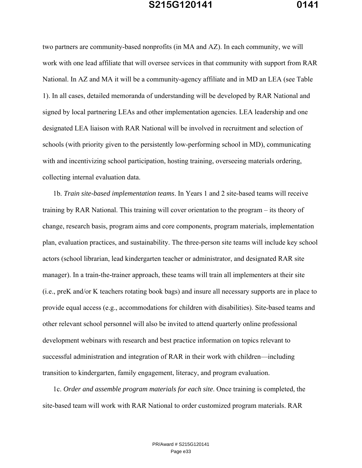two partners are community-based nonprofits (in MA and AZ). In each community, we will work with one lead affiliate that will oversee services in that community with support from RAR National. In AZ and MA it will be a community-agency affiliate and in MD an LEA (see Table 1). In all cases, detailed memoranda of understanding will be developed by RAR National and signed by local partnering LEAs and other implementation agencies. LEA leadership and one designated LEA liaison with RAR National will be involved in recruitment and selection of schools (with priority given to the persistently low-performing school in MD), communicating with and incentivizing school participation, hosting training, overseeing materials ordering, collecting internal evaluation data.

1b. *Train site-based implementation teams*. In Years 1 and 2 site-based teams will receive training by RAR National. This training will cover orientation to the program – its theory of change, research basis, program aims and core components, program materials, implementation plan, evaluation practices, and sustainability. The three-person site teams will include key school actors (school librarian, lead kindergarten teacher or administrator, and designated RAR site manager). In a train-the-trainer approach, these teams will train all implementers at their site (i.e., preK and/or K teachers rotating book bags) and insure all necessary supports are in place to provide equal access (e.g., accommodations for children with disabilities). Site-based teams and other relevant school personnel will also be invited to attend quarterly online professional development webinars with research and best practice information on topics relevant to successful administration and integration of RAR in their work with children—including transition to kindergarten, family engagement, literacy, and program evaluation.

1c. *Order and assemble program materials for each site*. Once training is completed, the site-based team will work with RAR National to order customized program materials. RAR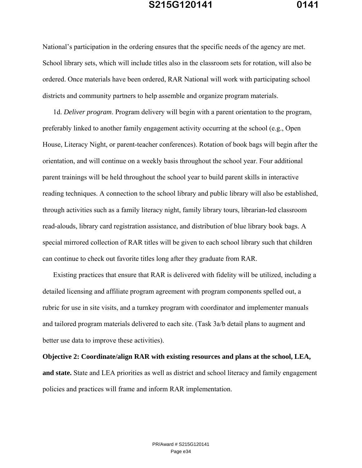National's participation in the ordering ensures that the specific needs of the agency are met. School library sets, which will include titles also in the classroom sets for rotation, will also be ordered. Once materials have been ordered, RAR National will work with participating school districts and community partners to help assemble and organize program materials.

1d. *Deliver program*. Program delivery will begin with a parent orientation to the program, preferably linked to another family engagement activity occurring at the school (e.g., Open House, Literacy Night, or parent-teacher conferences). Rotation of book bags will begin after the orientation, and will continue on a weekly basis throughout the school year. Four additional parent trainings will be held throughout the school year to build parent skills in interactive reading techniques. A connection to the school library and public library will also be established, through activities such as a family literacy night, family library tours, librarian-led classroom read-alouds, library card registration assistance, and distribution of blue library book bags. A special mirrored collection of RAR titles will be given to each school library such that children can continue to check out favorite titles long after they graduate from RAR.

Existing practices that ensure that RAR is delivered with fidelity will be utilized, including a detailed licensing and affiliate program agreement with program components spelled out, a rubric for use in site visits, and a turnkey program with coordinator and implementer manuals and tailored program materials delivered to each site. (Task 3a/b detail plans to augment and better use data to improve these activities).

**Objective 2: Coordinate/align RAR with existing resources and plans at the school, LEA, and state.** State and LEA priorities as well as district and school literacy and family engagement policies and practices will frame and inform RAR implementation.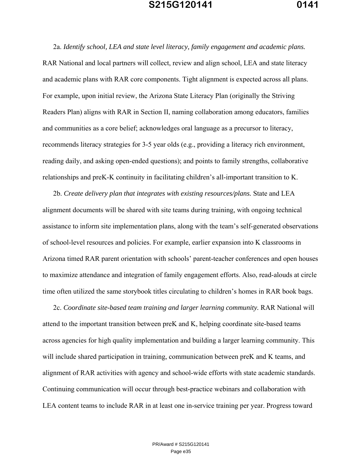2a. *Identify school, LEA and state level literacy, family engagement and academic plans.* RAR National and local partners will collect, review and align school, LEA and state literacy and academic plans with RAR core components. Tight alignment is expected across all plans. For example, upon initial review, the Arizona State Literacy Plan (originally the Striving Readers Plan) aligns with RAR in Section II, naming collaboration among educators, families and communities as a core belief; acknowledges oral language as a precursor to literacy, recommends literacy strategies for 3-5 year olds (e.g., providing a literacy rich environment, reading daily, and asking open-ended questions); and points to family strengths, collaborative relationships and preK-K continuity in facilitating children's all-important transition to K.

2b. *Create delivery plan that integrates with existing resources/plans.* State and LEA alignment documents will be shared with site teams during training, with ongoing technical assistance to inform site implementation plans, along with the team's self-generated observations of school-level resources and policies. For example, earlier expansion into K classrooms in Arizona timed RAR parent orientation with schools' parent-teacher conferences and open houses to maximize attendance and integration of family engagement efforts. Also, read-alouds at circle time often utilized the same storybook titles circulating to children's homes in RAR book bags.

2c. *Coordinate site-based team training and larger learning community.* RAR National will attend to the important transition between preK and K, helping coordinate site-based teams across agencies for high quality implementation and building a larger learning community. This will include shared participation in training, communication between preK and K teams, and alignment of RAR activities with agency and school-wide efforts with state academic standards. Continuing communication will occur through best-practice webinars and collaboration with LEA content teams to include RAR in at least one in-service training per year. Progress toward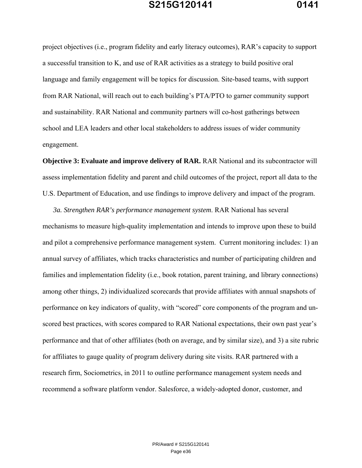project objectives (i.e., program fidelity and early literacy outcomes), RAR's capacity to support a successful transition to K, and use of RAR activities as a strategy to build positive oral language and family engagement will be topics for discussion. Site-based teams, with support from RAR National, will reach out to each building's PTA/PTO to garner community support and sustainability. RAR National and community partners will co-host gatherings between school and LEA leaders and other local stakeholders to address issues of wider community engagement.

**Objective 3: Evaluate and improve delivery of RAR.** RAR National and its subcontractor will assess implementation fidelity and parent and child outcomes of the project, report all data to the U.S. Department of Education, and use findings to improve delivery and impact of the program.

*3a. Strengthen RAR's performance management system*. RAR National has several mechanisms to measure high-quality implementation and intends to improve upon these to build and pilot a comprehensive performance management system. Current monitoring includes: 1) an annual survey of affiliates, which tracks characteristics and number of participating children and families and implementation fidelity (i.e., book rotation, parent training, and library connections) among other things, 2) individualized scorecards that provide affiliates with annual snapshots of performance on key indicators of quality, with "scored" core components of the program and unscored best practices, with scores compared to RAR National expectations, their own past year's performance and that of other affiliates (both on average, and by similar size), and 3) a site rubric for affiliates to gauge quality of program delivery during site visits. RAR partnered with a research firm, Sociometrics, in 2011 to outline performance management system needs and recommend a software platform vendor. Salesforce, a widely-adopted donor, customer, and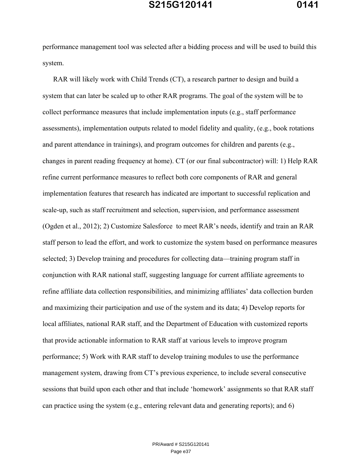performance management tool was selected after a bidding process and will be used to build this system.

RAR will likely work with Child Trends (CT), a research partner to design and build a system that can later be scaled up to other RAR programs. The goal of the system will be to collect performance measures that include implementation inputs (e.g., staff performance assessments), implementation outputs related to model fidelity and quality, (e.g., book rotations and parent attendance in trainings), and program outcomes for children and parents (e.g., changes in parent reading frequency at home). CT (or our final subcontractor) will: 1) Help RAR refine current performance measures to reflect both core components of RAR and general implementation features that research has indicated are important to successful replication and scale-up, such as staff recruitment and selection, supervision, and performance assessment (Ogden et al., 2012); 2) Customize Salesforce to meet RAR's needs, identify and train an RAR staff person to lead the effort, and work to customize the system based on performance measures selected; 3) Develop training and procedures for collecting data—training program staff in conjunction with RAR national staff, suggesting language for current affiliate agreements to refine affiliate data collection responsibilities, and minimizing affiliates' data collection burden and maximizing their participation and use of the system and its data; 4) Develop reports for local affiliates, national RAR staff, and the Department of Education with customized reports that provide actionable information to RAR staff at various levels to improve program performance; 5) Work with RAR staff to develop training modules to use the performance management system, drawing from CT's previous experience, to include several consecutive sessions that build upon each other and that include 'homework' assignments so that RAR staff can practice using the system (e.g., entering relevant data and generating reports); and 6)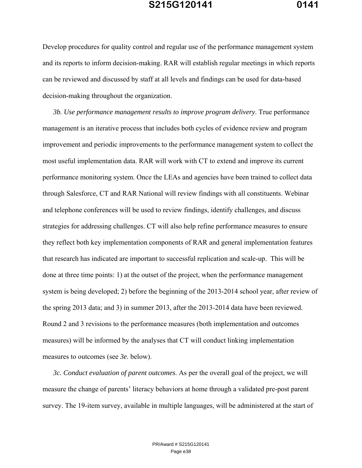Develop procedures for quality control and regular use of the performance management system and its reports to inform decision-making. RAR will establish regular meetings in which reports can be reviewed and discussed by staff at all levels and findings can be used for data-based decision-making throughout the organization.

*3b. Use performance management results to improve program delivery*. True performance management is an iterative process that includes both cycles of evidence review and program improvement and periodic improvements to the performance management system to collect the most useful implementation data. RAR will work with CT to extend and improve its current performance monitoring system. Once the LEAs and agencies have been trained to collect data through Salesforce, CT and RAR National will review findings with all constituents. Webinar and telephone conferences will be used to review findings, identify challenges, and discuss strategies for addressing challenges. CT will also help refine performance measures to ensure they reflect both key implementation components of RAR and general implementation features that research has indicated are important to successful replication and scale-up. This will be done at three time points: 1) at the outset of the project, when the performance management system is being developed; 2) before the beginning of the 2013-2014 school year, after review of the spring 2013 data; and 3) in summer 2013, after the 2013-2014 data have been reviewed. Round 2 and 3 revisions to the performance measures (both implementation and outcomes measures) will be informed by the analyses that CT will conduct linking implementation measures to outcomes (see *3e.* below).

*3c. Conduct evaluation of parent outcomes*. As per the overall goal of the project, we will measure the change of parents' literacy behaviors at home through a validated pre-post parent survey. The 19-item survey, available in multiple languages, will be administered at the start of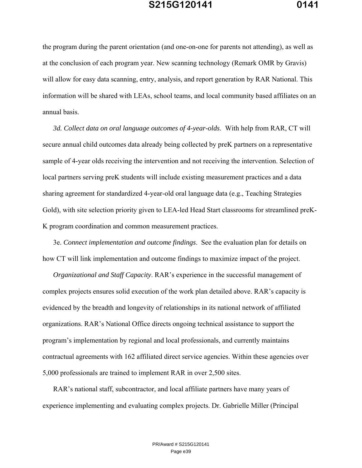the program during the parent orientation (and one-on-one for parents not attending), as well as at the conclusion of each program year. New scanning technology (Remark OMR by Gravis) will allow for easy data scanning, entry, analysis, and report generation by RAR National. This information will be shared with LEAs, school teams, and local community based affiliates on an annual basis.

*3d. Collect data on oral language outcomes of 4-year-olds*. With help from RAR, CT will secure annual child outcomes data already being collected by preK partners on a representative sample of 4-year olds receiving the intervention and not receiving the intervention. Selection of local partners serving preK students will include existing measurement practices and a data sharing agreement for standardized 4-year-old oral language data (e.g., Teaching Strategies Gold), with site selection priority given to LEA-led Head Start classrooms for streamlined preK-K program coordination and common measurement practices.

3e. *Connect implementation and outcome findings*. See the evaluation plan for details on how CT will link implementation and outcome findings to maximize impact of the project.

*Organizational and Staff Capacity*. RAR's experience in the successful management of complex projects ensures solid execution of the work plan detailed above. RAR's capacity is evidenced by the breadth and longevity of relationships in its national network of affiliated organizations. RAR's National Office directs ongoing technical assistance to support the program's implementation by regional and local professionals, and currently maintains contractual agreements with 162 affiliated direct service agencies. Within these agencies over 5,000 professionals are trained to implement RAR in over 2,500 sites.

RAR's national staff, subcontractor, and local affiliate partners have many years of experience implementing and evaluating complex projects. Dr. Gabrielle Miller (Principal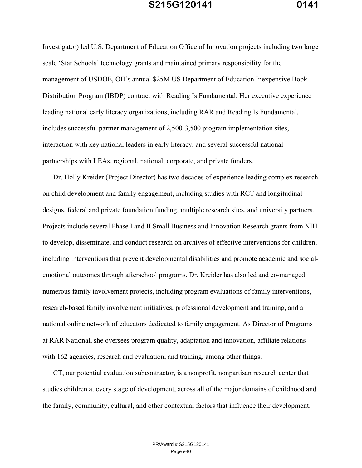Investigator) led U.S. Department of Education Office of Innovation projects including two large scale 'Star Schools' technology grants and maintained primary responsibility for the management of USDOE, OII's annual \$25M US Department of Education Inexpensive Book Distribution Program (IBDP) contract with Reading Is Fundamental. Her executive experience leading national early literacy organizations, including RAR and Reading Is Fundamental, includes successful partner management of 2,500-3,500 program implementation sites, interaction with key national leaders in early literacy, and several successful national partnerships with LEAs, regional, national, corporate, and private funders.

Dr. Holly Kreider (Project Director) has two decades of experience leading complex research on child development and family engagement, including studies with RCT and longitudinal designs, federal and private foundation funding, multiple research sites, and university partners. Projects include several Phase I and II Small Business and Innovation Research grants from NIH to develop, disseminate, and conduct research on archives of effective interventions for children, including interventions that prevent developmental disabilities and promote academic and socialemotional outcomes through afterschool programs. Dr. Kreider has also led and co-managed numerous family involvement projects, including program evaluations of family interventions, research-based family involvement initiatives, professional development and training, and a national online network of educators dedicated to family engagement. As Director of Programs at RAR National, she oversees program quality, adaptation and innovation, affiliate relations with 162 agencies, research and evaluation, and training, among other things.

CT, our potential evaluation subcontractor, is a nonprofit, nonpartisan research center that studies children at every stage of development, across all of the major domains of childhood and the family, community, cultural, and other contextual factors that influence their development.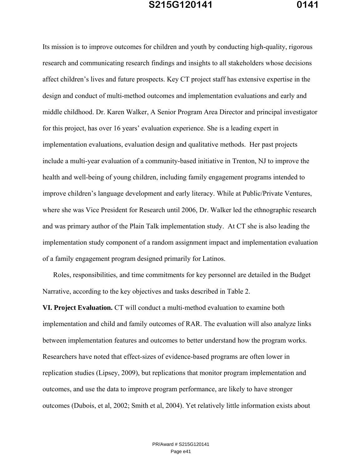Its mission is to improve outcomes for children and youth by conducting high-quality, rigorous research and communicating research findings and insights to all stakeholders whose decisions affect children's lives and future prospects. Key CT project staff has extensive expertise in the design and conduct of multi-method outcomes and implementation evaluations and early and middle childhood. Dr. Karen Walker, A Senior Program Area Director and principal investigator for this project, has over 16 years' evaluation experience. She is a leading expert in implementation evaluations, evaluation design and qualitative methods. Her past projects include a multi-year evaluation of a community-based initiative in Trenton, NJ to improve the health and well-being of young children, including family engagement programs intended to improve children's language development and early literacy. While at Public/Private Ventures, where she was Vice President for Research until 2006, Dr. Walker led the ethnographic research and was primary author of the Plain Talk implementation study. At CT she is also leading the implementation study component of a random assignment impact and implementation evaluation of a family engagement program designed primarily for Latinos.

Roles, responsibilities, and time commitments for key personnel are detailed in the Budget Narrative, according to the key objectives and tasks described in Table 2.

**VI. Project Evaluation.** CT will conduct a multi-method evaluation to examine both implementation and child and family outcomes of RAR. The evaluation will also analyze links between implementation features and outcomes to better understand how the program works. Researchers have noted that effect-sizes of evidence-based programs are often lower in replication studies (Lipsey, 2009), but replications that monitor program implementation and outcomes, and use the data to improve program performance, are likely to have stronger outcomes (Dubois, et al, 2002; Smith et al, 2004). Yet relatively little information exists about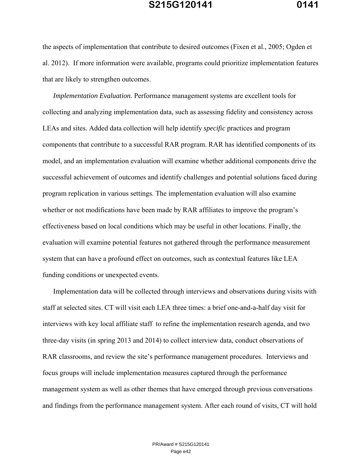the aspects of implementation that contribute to desired outcomes (Fixen et al., 2005; Ogden et al. 2012). If more information were available, programs could prioritize implementation features that are likely to strengthen outcomes.

*Implementation Evaluation.* Performance management systems are excellent tools for collecting and analyzing implementation data, such as assessing fidelity and consistency across LEAs and sites. Added data collection will help identify *specific* practices and program components that contribute to a successful RAR program. RAR has identified components of its model, and an implementation evaluation will examine whether additional components drive the successful achievement of outcomes and identify challenges and potential solutions faced during program replication in various settings. The implementation evaluation will also examine whether or not modifications have been made by RAR affiliates to improve the program's effectiveness based on local conditions which may be useful in other locations. Finally, the evaluation will examine potential features not gathered through the performance measurement system that can have a profound effect on outcomes, such as contextual features like LEA funding conditions or unexpected events.

Implementation data will be collected through interviews and observations during visits with staff at selected sites. CT will visit each LEA three times: a brief one-and-a-half day visit for interviews with key local affiliate staff to refine the implementation research agenda, and two three-day visits (in spring 2013 and 2014) to collect interview data, conduct observations of RAR classrooms, and review the site's performance management procedures. Interviews and focus groups will include implementation measures captured through the performance management system as well as other themes that have emerged through previous conversations and findings from the performance management system. After each round of visits, CT will hold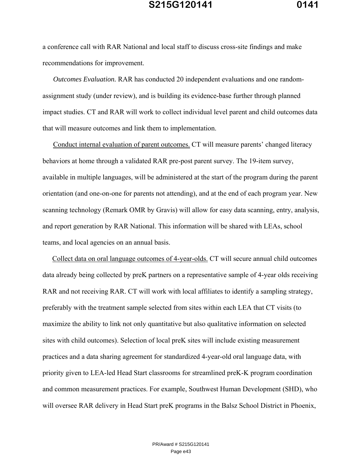a conference call with RAR National and local staff to discuss cross-site findings and make recommendations for improvement.

*Outcomes Evaluation.* RAR has conducted 20 independent evaluations and one randomassignment study (under review), and is building its evidence-base further through planned impact studies. CT and RAR will work to collect individual level parent and child outcomes data that will measure outcomes and link them to implementation.

Conduct internal evaluation of parent outcomes. CT will measure parents' changed literacy behaviors at home through a validated RAR pre-post parent survey. The 19-item survey, available in multiple languages, will be administered at the start of the program during the parent orientation (and one-on-one for parents not attending), and at the end of each program year. New scanning technology (Remark OMR by Gravis) will allow for easy data scanning, entry, analysis, and report generation by RAR National. This information will be shared with LEAs, school teams, and local agencies on an annual basis.

Collect data on oral language outcomes of 4-year-olds. CT will secure annual child outcomes data already being collected by preK partners on a representative sample of 4-year olds receiving RAR and not receiving RAR. CT will work with local affiliates to identify a sampling strategy, preferably with the treatment sample selected from sites within each LEA that CT visits (to maximize the ability to link not only quantitative but also qualitative information on selected sites with child outcomes). Selection of local preK sites will include existing measurement practices and a data sharing agreement for standardized 4-year-old oral language data, with priority given to LEA-led Head Start classrooms for streamlined preK-K program coordination and common measurement practices. For example, Southwest Human Development (SHD), who will oversee RAR delivery in Head Start preK programs in the Balsz School District in Phoenix,